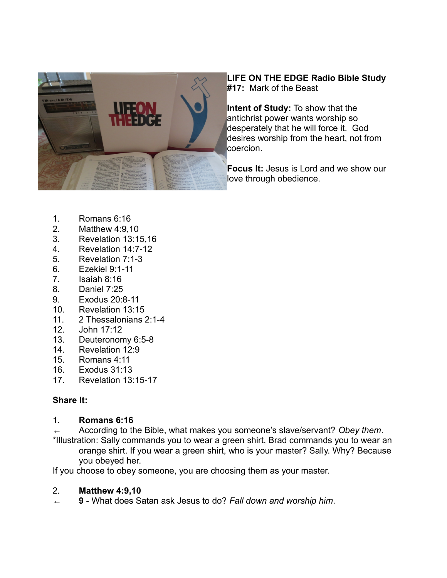

## **LIFE ON THE EDGE Radio Bible Study #17:** Mark of the Beast

**Intent of Study:** To show that the antichrist power wants worship so desperately that he will force it. God desires worship from the heart, not from coercion.

**Focus It:** Jesus is Lord and we show our love through obedience.

- 1. Romans 6:16
- 2. Matthew 4:9,10
- 3. Revelation 13:15,16
- 4. Revelation 14:7-12
- 5. Revelation 7:1-3
- 6. Ezekiel 9:1-11
- 7. Isaiah 8:16
- 8. Daniel 7:25
- 9. Exodus 20:8-11
- 10. Revelation 13:15
- 11. 2 Thessalonians 2:1-4
- 12. John 17:12
- 13. Deuteronomy 6:5-8
- 14. Revelation 12:9
- 15. Romans 4:11<br>16. Exodus 31:13
- Exodus 31:13
- 17. Revelation 13:15-17

# **Share It:**

# 1. **Romans 6:16**

← According to the Bible, what makes you someone's slave/servant? *Obey them*. \*Illustration: Sally commands you to wear a green shirt, Brad commands you to wear an orange shirt. If you wear a green shirt, who is your master? Sally. Why? Because you obeyed her.

If you choose to obey someone, you are choosing them as your master.

# 2. **Matthew 4:9,10**

← **9** - What does Satan ask Jesus to do? *Fall down and worship him*.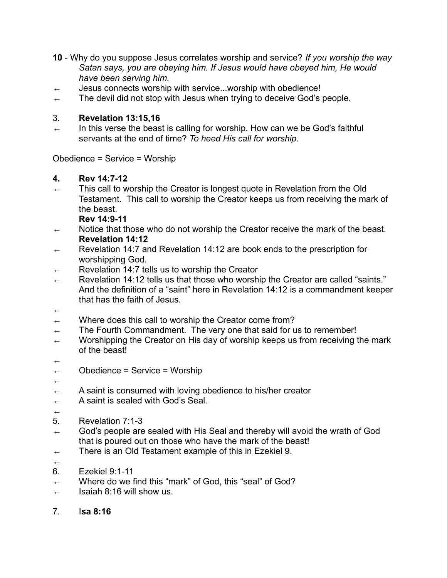- **10** Why do you suppose Jesus correlates worship and service? *If you worship the way Satan says, you are obeying him. If Jesus would have obeyed him, He would have been serving him.*
- $\leftarrow$  Jesus connects worship with service...worship with obedience!
- $\leftarrow$  The devil did not stop with Jesus when trying to deceive God's people.

## 3. **Revelation 13:15,16**

 $\leftarrow$  In this verse the beast is calling for worship. How can we be God's faithful servants at the end of time? *To heed His call for worship.*

Obedience = Service = Worship

# **4. Rev 14:7-12**

← This call to worship the Creator is longest quote in Revelation from the Old Testament. This call to worship the Creator keeps us from receiving the mark of the beast.

**Rev 14:9-11**

- ← Notice that those who do not worship the Creator receive the mark of the beast. **Revelation 14:12**
- Revelation 14:7 and Revelation 14:12 are book ends to the prescription for worshipping God.
- ← Revelation 14:7 tells us to worship the Creator
- ← Revelation 14:12 tells us that those who worship the Creator are called "saints." And the definition of a "saint" here in Revelation 14:12 is a commandment keeper that has the faith of Jesus.
- ←
- $\leftarrow$  Where does this call to worship the Creator come from?
- $\leftarrow$  The Fourth Commandment. The very one that said for us to remember!
- $\leftarrow$  Worshipping the Creator on His day of worship keeps us from receiving the mark of the beast!
- ←
- ← Obedience = Service = Worship
- ←
- $\leftarrow$  A saint is consumed with loving obedience to his/her creator
- ← A saint is sealed with God's Seal.
- ←
- 5. Revelation 7:1-3
- $\leftarrow$  God's people are sealed with His Seal and thereby will avoid the wrath of God that is poured out on those who have the mark of the beast!
- $\leftarrow$  There is an Old Testament example of this in Ezekiel 9.
- ←
- 6. Ezekiel 9:1-11
- $\leftarrow$  Where do we find this "mark" of God, this "seal" of God?
- $\leftarrow$  Isaiah 8:16 will show us.
- 7. I**sa 8:16**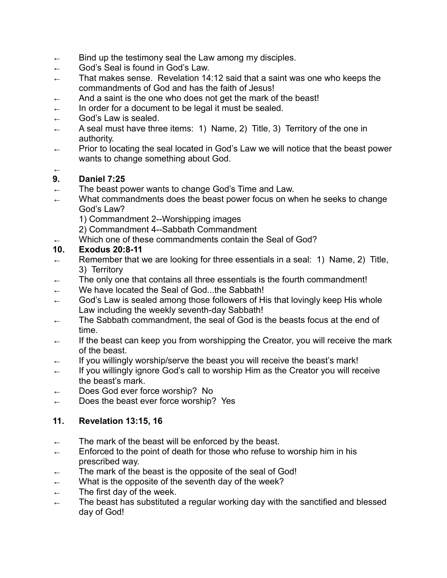- $\leftarrow$  Bind up the testimony seal the Law among my disciples.
- ← God's Seal is found in God's Law.
- $\leftarrow$  That makes sense. Revelation 14:12 said that a saint was one who keeps the commandments of God and has the faith of Jesus!
- ← And a saint is the one who does not get the mark of the beast!
- $\leftarrow$  In order for a document to be legal it must be sealed.
- $\leftarrow$  God's Law is sealed.
- A seal must have three items: 1) Name, 2) Title, 3) Territory of the one in authority.
- $\leftarrow$  Prior to locating the seal located in God's Law we will notice that the beast power wants to change something about God.

#### ← **9. Daniel 7:25**

- $\leftarrow$  The beast power wants to change God's Time and Law.
- ← What commandments does the beast power focus on when he seeks to change God's Law?
	- 1) Commandment 2--Worshipping images

2) Commandment 4--Sabbath Commandment

Which one of these commandments contain the Seal of God?

#### **10. Exodus 20:8-11**

- ← Remember that we are looking for three essentials in a seal: 1) Name, 2) Title, 3) Territory
- The only one that contains all three essentials is the fourth commandment!
- ← We have located the Seal of God...the Sabbath!
- $\leftarrow$  God's Law is sealed among those followers of His that lovingly keep His whole Law including the weekly seventh-day Sabbath!
- ← The Sabbath commandment, the seal of God is the beasts focus at the end of time.
- $\leftarrow$  If the beast can keep you from worshipping the Creator, you will receive the mark of the beast.
- $\leftarrow$  If you willingly worship/serve the beast you will receive the beast's mark!
- ← If you willingly ignore God's call to worship Him as the Creator you will receive the beast's mark.
- ← Does God ever force worship? No
- $\leftarrow$  Does the beast ever force worship? Yes

## **11. Revelation 13:15, 16**

- $\leftarrow$  The mark of the beast will be enforced by the beast.
- $\leftarrow$  Enforced to the point of death for those who refuse to worship him in his prescribed way.
- The mark of the beast is the opposite of the seal of God!
- $\leftarrow$  What is the opposite of the seventh day of the week?
- $\leftarrow$  The first day of the week.
- $\leftarrow$  The beast has substituted a regular working day with the sanctified and blessed day of God!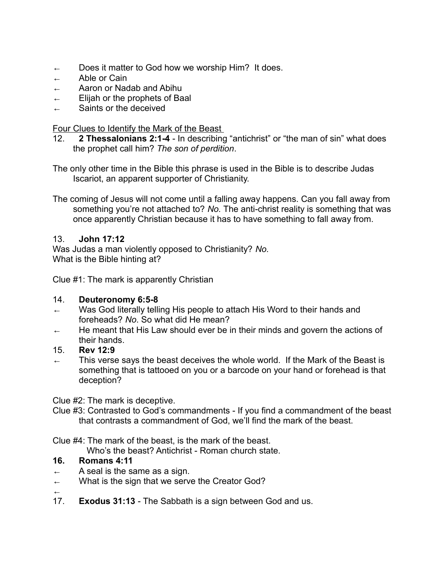- ← Does it matter to God how we worship Him? It does.
- ← Able or Cain
- Aaron or Nadab and Abihu
- ← Elijah or the prophets of Baal
- ← Saints or the deceived

#### Four Clues to Identify the Mark of the Beast

12. **2 Thessalonians 2:1-4** - In describing "antichrist" or "the man of sin" what does the prophet call him? *The son of perdition*.

The only other time in the Bible this phrase is used in the Bible is to describe Judas Iscariot, an apparent supporter of Christianity.

The coming of Jesus will not come until a falling away happens. Can you fall away from something you're not attached to? *No.* The anti-christ reality is something that was once apparently Christian because it has to have something to fall away from.

#### 13. **John 17:12**

Was Judas a man violently opposed to Christianity? *No.* What is the Bible hinting at?

Clue #1: The mark is apparently Christian

#### 14. **Deuteronomy 6:5-8**

- ← Was God literally telling His people to attach His Word to their hands and foreheads? *No*. So what did He mean?
- ← He meant that His Law should ever be in their minds and govern the actions of their hands.
- 15. **Rev 12:9**
- $\leftarrow$  This verse says the beast deceives the whole world. If the Mark of the Beast is something that is tattooed on you or a barcode on your hand or forehead is that deception?

Clue #2: The mark is deceptive.

Clue #3: Contrasted to God's commandments - If you find a commandment of the beast that contrasts a commandment of God, we'll find the mark of the beast.

Clue #4: The mark of the beast, is the mark of the beast.

Who's the beast? Antichrist - Roman church state.

#### **16. Romans 4:11**

- $\leftarrow$  A seal is the same as a sign.
- $\leftarrow$  What is the sign that we serve the Creator God?
- ← 17. **Exodus 31:13** - The Sabbath is a sign between God and us.